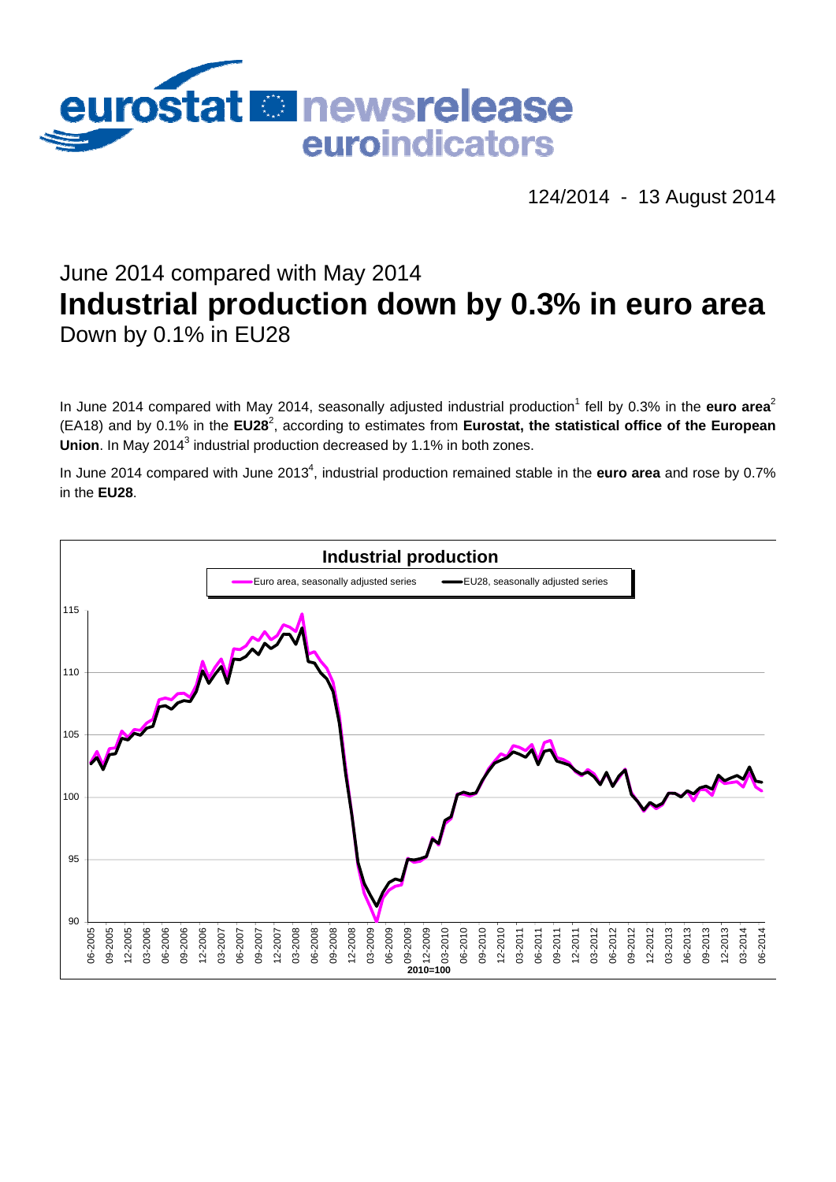

124/2014 - 13 August 2014

# June 2014 compared with May 2014 **Industrial production down by 0.3% in euro area**  Down by 0.1% in EU28

In June 2014 compared with May 2014, seasonally adjusted industrial production<sup>1</sup> fell by 0.3% in the euro area<sup>2</sup> (EA18) and by 0.1% in the **EU28**<sup>2</sup> , according to estimates from **Eurostat, the statistical office of the European**  Union. In May 2014<sup>3</sup> industrial production decreased by 1.1% in both zones.

In June 2014 compared with June 2013<sup>4</sup>, industrial production remained stable in the **euro area** and rose by 0.7% in the **EU28**.

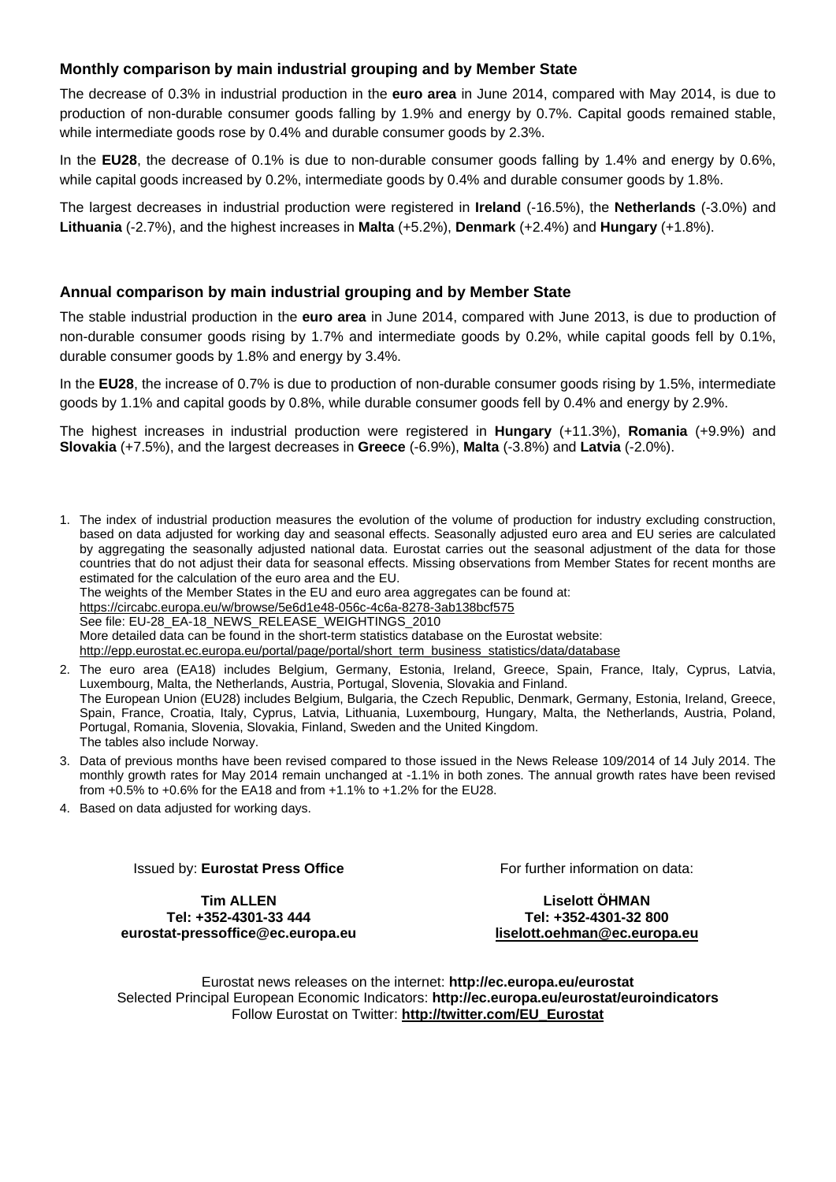## **Monthly comparison by main industrial grouping and by Member State**

The decrease of 0.3% in industrial production in the **euro area** in June 2014, compared with May 2014, is due to production of non-durable consumer goods falling by 1.9% and energy by 0.7%. Capital goods remained stable, while intermediate goods rose by 0.4% and durable consumer goods by 2.3%.

In the **EU28**, the decrease of 0.1% is due to non-durable consumer goods falling by 1.4% and energy by 0.6%, while capital goods increased by 0.2%, intermediate goods by 0.4% and durable consumer goods by 1.8%.

The largest decreases in industrial production were registered in **Ireland** (-16.5%), the **Netherlands** (-3.0%) and **Lithuania** (-2.7%), and the highest increases in **Malta** (+5.2%), **Denmark** (+2.4%) and **Hungary** (+1.8%).

## **Annual comparison by main industrial grouping and by Member State**

The stable industrial production in the **euro area** in June 2014, compared with June 2013, is due to production of non-durable consumer goods rising by 1.7% and intermediate goods by 0.2%, while capital goods fell by 0.1%, durable consumer goods by 1.8% and energy by 3.4%.

In the **EU28**, the increase of 0.7% is due to production of non-durable consumer goods rising by 1.5%, intermediate goods by 1.1% and capital goods by 0.8%, while durable consumer goods fell by 0.4% and energy by 2.9%.

The highest increases in industrial production were registered in **Hungary** (+11.3%), **Romania** (+9.9%) and **Slovakia** (+7.5%), and the largest decreases in **Greece** (-6.9%), **Malta** (-3.8%) and **Latvia** (-2.0%).

1. The index of industrial production measures the evolution of the volume of production for industry excluding construction, based on data adjusted for working day and seasonal effects. Seasonally adjusted euro area and EU series are calculated by aggregating the seasonally adjusted national data. Eurostat carries out the seasonal adjustment of the data for those countries that do not adjust their data for seasonal effects. Missing observations from Member States for recent months are estimated for the calculation of the euro area and the EU.

The weights of the Member States in the EU and euro area aggregates can be found at:

<https://circabc.europa.eu/w/browse/5e6d1e48-056c-4c6a-8278-3ab138bcf575>

See file: EU-28\_EA-18\_NEWS\_RELEASE\_WEIGHTINGS\_2010

More detailed data can be found in the short-term statistics database on the Eurostat website:

[http://epp.eurostat.ec.europa.eu/portal/page/portal/short\\_term\\_business\\_statistics/data/database](http://epp.eurostat.ec.europa.eu/portal/page/portal/short_term_business_statistics/data/database) 

2. The euro area (EA18) includes Belgium, Germany, Estonia, Ireland, Greece, Spain, France, Italy, Cyprus, Latvia, Luxembourg, Malta, the Netherlands, Austria, Portugal, Slovenia, Slovakia and Finland. The European Union (EU28) includes Belgium, Bulgaria, the Czech Republic, Denmark, Germany, Estonia, Ireland, Greece, Spain, France, Croatia, Italy, Cyprus, Latvia, Lithuania, Luxembourg, Hungary, Malta, the Netherlands, Austria, Poland, Portugal, Romania, Slovenia, Slovakia, Finland, Sweden and the United Kingdom.

The tables also include Norway.

3. Data of previous months have been revised compared to those issued in the News Release 109/2014 of 14 July 2014. The monthly growth rates for May 2014 remain unchanged at -1.1% in both zones. The annual growth rates have been revised from +0.5% to +0.6% for the EA18 and from +1.1% to +1.2% for the EU28.

4. Based on data adjusted for working days.

Issued by: **Eurostat Press Office** 

For further information on data:

**Tim ALLEN Tel: +352-4301-33 444 eurostat-pressoffice@ec.europa.eu** 

**Liselott ÖHMAN Tel: +352-4301-32 800 liselott.oehman@ec.europa.eu** 

Eurostat news releases on the internet: **http://ec.europa.eu/eurostat**  Selected Principal European Economic Indicators: **http://ec.europa.eu/eurostat/euroindicators**  Follow Eurostat on Twitter: **[http://twitter.com/EU\\_Eurostat](http://twitter.com/EU_Eurostat)**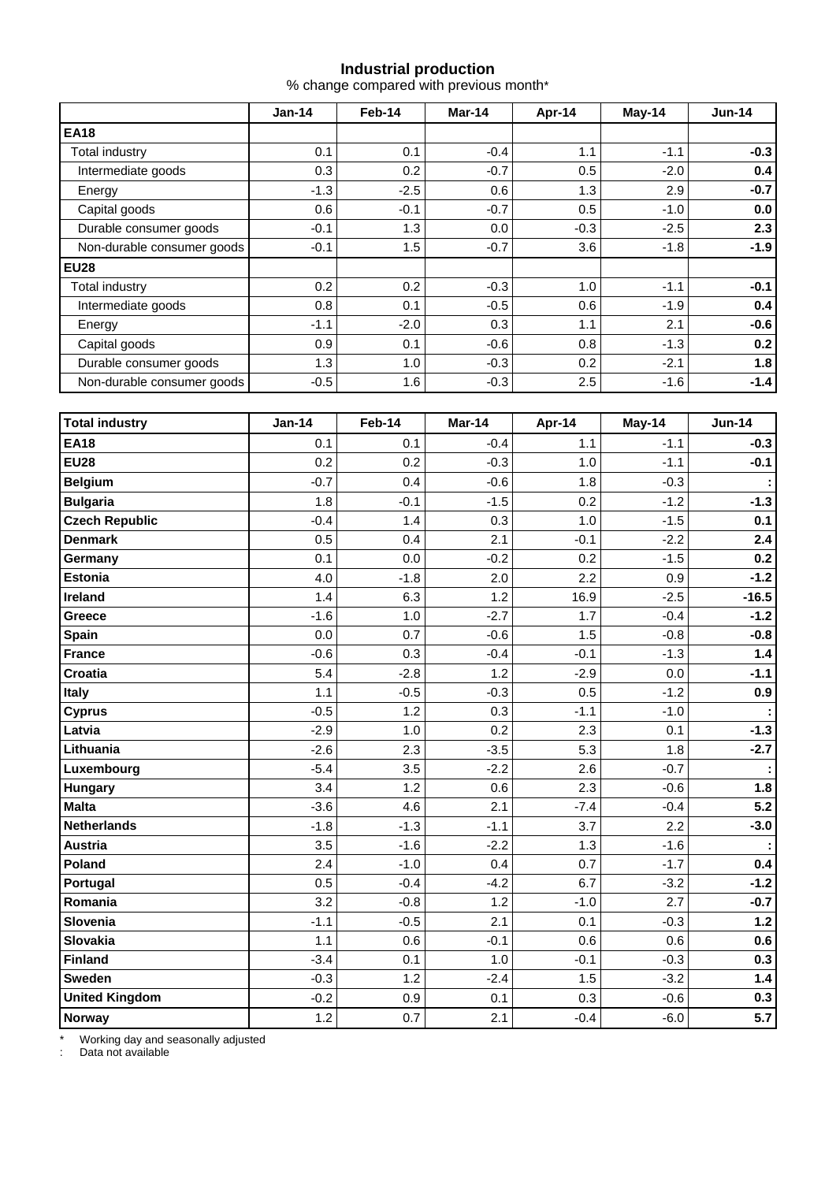## **Industrial production**

% change compared with previous month\*

|                            | $Jan-14$ | Feb-14 | Mar-14 | Apr-14 | $May-14$ | $Jun-14$ |
|----------------------------|----------|--------|--------|--------|----------|----------|
| <b>EA18</b>                |          |        |        |        |          |          |
| Total industry             | 0.1      | 0.1    | $-0.4$ | 1.1    | $-1.1$   | $-0.3$   |
| Intermediate goods         | 0.3      | 0.2    | $-0.7$ | 0.5    | $-2.0$   | 0.4      |
| Energy                     | $-1.3$   | $-2.5$ | 0.6    | 1.3    | 2.9      | $-0.7$   |
| Capital goods              | 0.6      | $-0.1$ | $-0.7$ | 0.5    | $-1.0$   | 0.0      |
| Durable consumer goods     | $-0.1$   | 1.3    | 0.0    | $-0.3$ | $-2.5$   | 2.3      |
| Non-durable consumer goods | $-0.1$   | 1.5    | $-0.7$ | 3.6    | $-1.8$   | $-1.9$   |
| <b>EU28</b>                |          |        |        |        |          |          |
| <b>Total industry</b>      | 0.2      | 0.2    | $-0.3$ | 1.0    | $-1.1$   | $-0.1$   |
| Intermediate goods         | 0.8      | 0.1    | $-0.5$ | 0.6    | $-1.9$   | 0.4      |
| Energy                     | $-1.1$   | $-2.0$ | 0.3    | 1.1    | 2.1      | $-0.6$   |
| Capital goods              | 0.9      | 0.1    | $-0.6$ | 0.8    | $-1.3$   | 0.2      |
| Durable consumer goods     | 1.3      | 1.0    | $-0.3$ | 0.2    | $-2.1$   | 1.8      |
| Non-durable consumer goods | $-0.5$   | 1.6    | $-0.3$ | 2.5    | $-1.6$   | $-1.4$   |

| <b>Total industry</b> | <b>Jan-14</b> | Feb-14 | Mar-14 | Apr-14 | May-14 | <b>Jun-14</b> |
|-----------------------|---------------|--------|--------|--------|--------|---------------|
| <b>EA18</b>           | 0.1           | 0.1    | $-0.4$ | 1.1    | $-1.1$ | $-0.3$        |
| <b>EU28</b>           | 0.2           | 0.2    | $-0.3$ | 1.0    | $-1.1$ | $-0.1$        |
| <b>Belgium</b>        | $-0.7$        | 0.4    | $-0.6$ | 1.8    | $-0.3$ |               |
| <b>Bulgaria</b>       | 1.8           | $-0.1$ | $-1.5$ | 0.2    | $-1.2$ | $-1.3$        |
| <b>Czech Republic</b> | $-0.4$        | 1.4    | 0.3    | 1.0    | $-1.5$ | 0.1           |
| <b>Denmark</b>        | 0.5           | 0.4    | 2.1    | $-0.1$ | $-2.2$ | 2.4           |
| Germany               | 0.1           | 0.0    | $-0.2$ | 0.2    | $-1.5$ | 0.2           |
| <b>Estonia</b>        | 4.0           | $-1.8$ | 2.0    | 2.2    | 0.9    | $-1.2$        |
| <b>Ireland</b>        | 1.4           | 6.3    | 1.2    | 16.9   | $-2.5$ | $-16.5$       |
| Greece                | $-1.6$        | 1.0    | $-2.7$ | 1.7    | $-0.4$ | $-1.2$        |
| Spain                 | 0.0           | 0.7    | $-0.6$ | 1.5    | $-0.8$ | $-0.8$        |
| <b>France</b>         | $-0.6$        | 0.3    | $-0.4$ | $-0.1$ | $-1.3$ | $1.4$         |
| Croatia               | 5.4           | $-2.8$ | 1.2    | $-2.9$ | 0.0    | $-1.1$        |
| Italy                 | 1.1           | $-0.5$ | $-0.3$ | 0.5    | $-1.2$ | 0.9           |
| <b>Cyprus</b>         | $-0.5$        | 1.2    | 0.3    | $-1.1$ | $-1.0$ |               |
| Latvia                | $-2.9$        | 1.0    | 0.2    | 2.3    | 0.1    | $-1.3$        |
| Lithuania             | $-2.6$        | 2.3    | $-3.5$ | 5.3    | 1.8    | $-2.7$        |
| Luxembourg            | $-5.4$        | 3.5    | $-2.2$ | 2.6    | $-0.7$ |               |
| Hungary               | 3.4           | 1.2    | 0.6    | 2.3    | $-0.6$ | 1.8           |
| <b>Malta</b>          | $-3.6$        | 4.6    | 2.1    | $-7.4$ | $-0.4$ | $5.2$         |
| <b>Netherlands</b>    | $-1.8$        | $-1.3$ | $-1.1$ | 3.7    | 2.2    | $-3.0$        |
| <b>Austria</b>        | 3.5           | $-1.6$ | $-2.2$ | 1.3    | $-1.6$ |               |
| Poland                | 2.4           | $-1.0$ | 0.4    | 0.7    | $-1.7$ | 0.4           |
| Portugal              | 0.5           | $-0.4$ | $-4.2$ | 6.7    | $-3.2$ | $-1.2$        |
| Romania               | 3.2           | $-0.8$ | 1.2    | $-1.0$ | 2.7    | $-0.7$        |
| Slovenia              | $-1.1$        | $-0.5$ | 2.1    | 0.1    | $-0.3$ | $1.2$         |
| Slovakia              | 1.1           | 0.6    | $-0.1$ | 0.6    | 0.6    | 0.6           |
| <b>Finland</b>        | $-3.4$        | 0.1    | 1.0    | $-0.1$ | $-0.3$ | 0.3           |
| <b>Sweden</b>         | $-0.3$        | 1.2    | $-2.4$ | 1.5    | $-3.2$ | $1.4$         |
| <b>United Kingdom</b> | $-0.2$        | 0.9    | 0.1    | 0.3    | $-0.6$ | 0.3           |
| Norway                | 1.2           | 0.7    | 2.1    | $-0.4$ | $-6.0$ | 5.7           |

\* Working day and seasonally adjusted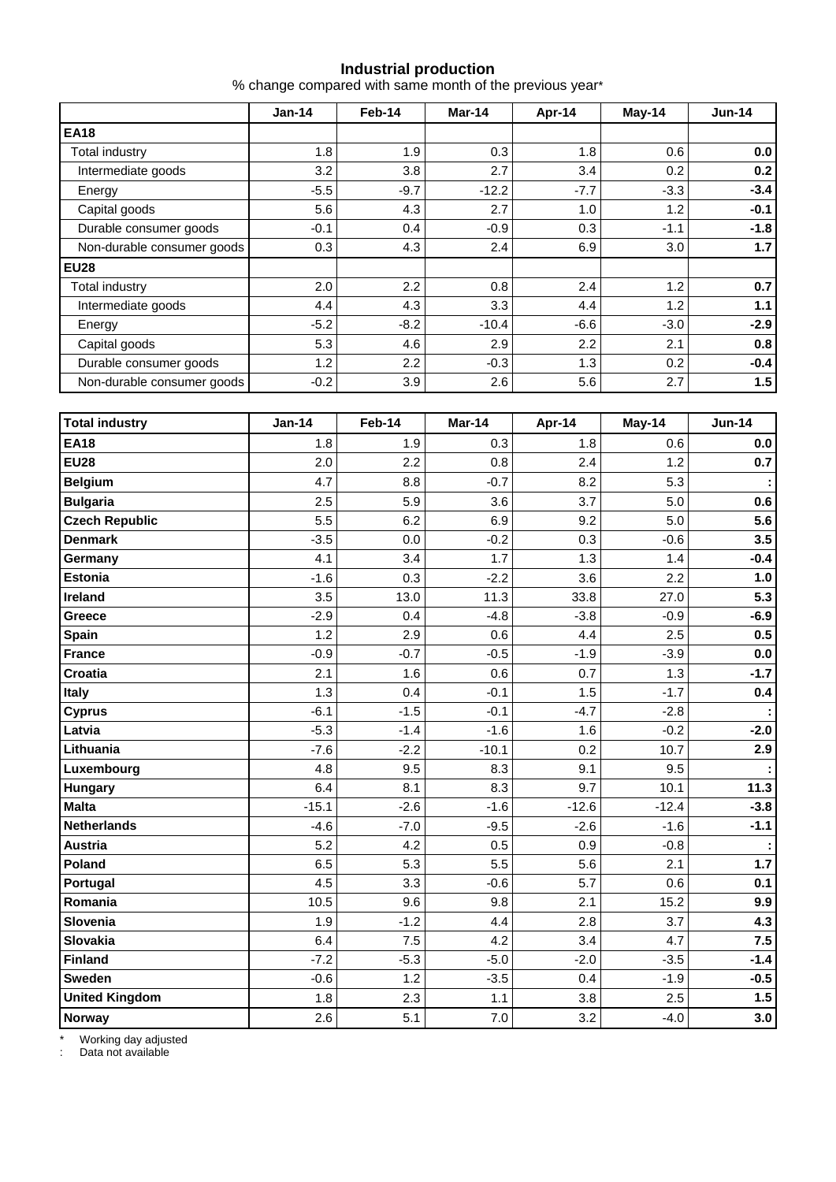#### **Industrial production**

% change compared with same month of the previous year\*

|                            | $Jan-14$ | Feb-14           | Mar-14  | Apr-14 | $May-14$ | $Jun-14$ |
|----------------------------|----------|------------------|---------|--------|----------|----------|
| <b>EA18</b>                |          |                  |         |        |          |          |
| <b>Total industry</b>      | 1.8      | 1.9              | 0.3     | 1.8    | 0.6      | 0.0      |
| Intermediate goods         | 3.2      | 3.8              | 2.7     | 3.4    | 0.2      | 0.2      |
| Energy                     | $-5.5$   | $-9.7$           | $-12.2$ | $-7.7$ | $-3.3$   | $-3.4$   |
| Capital goods              | 5.6      | 4.3              | 2.7     | 1.0    | 1.2      | $-0.1$   |
| Durable consumer goods     | $-0.1$   | 0.4              | $-0.9$  | 0.3    | $-1.1$   | $-1.8$   |
| Non-durable consumer goods | 0.3      | 4.3              | 2.4     | 6.9    | 3.0      | 1.7      |
| <b>EU28</b>                |          |                  |         |        |          |          |
| Total industry             | 2.0      | 2.2              | 0.8     | 2.4    | 1.2      | 0.7      |
| Intermediate goods         | 4.4      | 4.3              | 3.3     | 4.4    | 1.2      | 1.1      |
| Energy                     | $-5.2$   | $-8.2$           | $-10.4$ | $-6.6$ | $-3.0$   | $-2.9$   |
| Capital goods              | 5.3      | 4.6              | 2.9     | 2.2    | 2.1      | 0.8      |
| Durable consumer goods     | 1.2      | $2.2\phantom{0}$ | $-0.3$  | 1.3    | 0.2      | $-0.4$   |
| Non-durable consumer goods | $-0.2$   | 3.9              | 2.6     | 5.6    | 2.7      | 1.5      |

| <b>Total industry</b> | <b>Jan-14</b> | Feb-14 | Mar-14  | Apr-14  | May-14  | <b>Jun-14</b> |
|-----------------------|---------------|--------|---------|---------|---------|---------------|
| <b>EA18</b>           | 1.8           | 1.9    | 0.3     | 1.8     | 0.6     | $0.0\,$       |
| <b>EU28</b>           | 2.0           | 2.2    | 0.8     | 2.4     | 1.2     | 0.7           |
| <b>Belgium</b>        | 4.7           | 8.8    | $-0.7$  | 8.2     | 5.3     |               |
| <b>Bulgaria</b>       | 2.5           | 5.9    | 3.6     | 3.7     | 5.0     | 0.6           |
| <b>Czech Republic</b> | 5.5           | 6.2    | 6.9     | 9.2     | 5.0     | 5.6           |
| <b>Denmark</b>        | $-3.5$        | 0.0    | $-0.2$  | 0.3     | $-0.6$  | 3.5           |
| Germany               | 4.1           | 3.4    | 1.7     | 1.3     | 1.4     | $-0.4$        |
| <b>Estonia</b>        | $-1.6$        | 0.3    | $-2.2$  | 3.6     | 2.2     | 1.0           |
| <b>Ireland</b>        | 3.5           | 13.0   | 11.3    | 33.8    | 27.0    | 5.3           |
| Greece                | $-2.9$        | 0.4    | $-4.8$  | $-3.8$  | $-0.9$  | $-6.9$        |
| Spain                 | 1.2           | 2.9    | 0.6     | 4.4     | 2.5     | 0.5           |
| <b>France</b>         | $-0.9$        | $-0.7$ | $-0.5$  | $-1.9$  | $-3.9$  | 0.0           |
| Croatia               | 2.1           | 1.6    | 0.6     | 0.7     | 1.3     | $-1.7$        |
| Italy                 | 1.3           | 0.4    | $-0.1$  | 1.5     | $-1.7$  | 0.4           |
| <b>Cyprus</b>         | $-6.1$        | $-1.5$ | $-0.1$  | $-4.7$  | $-2.8$  |               |
| Latvia                | $-5.3$        | $-1.4$ | $-1.6$  | 1.6     | $-0.2$  | $-2.0$        |
| Lithuania             | $-7.6$        | $-2.2$ | $-10.1$ | 0.2     | 10.7    | 2.9           |
| Luxembourg            | 4.8           | 9.5    | 8.3     | 9.1     | 9.5     |               |
| Hungary               | 6.4           | 8.1    | 8.3     | 9.7     | 10.1    | 11.3          |
| <b>Malta</b>          | $-15.1$       | $-2.6$ | $-1.6$  | $-12.6$ | $-12.4$ | $-3.8$        |
| <b>Netherlands</b>    | $-4.6$        | $-7.0$ | $-9.5$  | $-2.6$  | $-1.6$  | $-1.1$        |
| <b>Austria</b>        | 5.2           | 4.2    | 0.5     | 0.9     | $-0.8$  |               |
| Poland                | 6.5           | 5.3    | 5.5     | 5.6     | 2.1     | $1.7$         |
| Portugal              | 4.5           | 3.3    | $-0.6$  | 5.7     | 0.6     | 0.1           |
| Romania               | 10.5          | 9.6    | 9.8     | 2.1     | 15.2    | 9.9           |
| Slovenia              | 1.9           | $-1.2$ | 4.4     | 2.8     | 3.7     | 4.3           |
| Slovakia              | 6.4           | 7.5    | 4.2     | 3.4     | 4.7     | 7.5           |
| <b>Finland</b>        | $-7.2$        | $-5.3$ | $-5.0$  | $-2.0$  | $-3.5$  | $-1.4$        |
| <b>Sweden</b>         | $-0.6$        | 1.2    | $-3.5$  | 0.4     | $-1.9$  | $-0.5$        |
| <b>United Kingdom</b> | 1.8           | 2.3    | 1.1     | 3.8     | 2.5     | 1.5           |
| Norway                | 2.6           | 5.1    | 7.0     | 3.2     | $-4.0$  | 3.0           |

\* Working day adjusted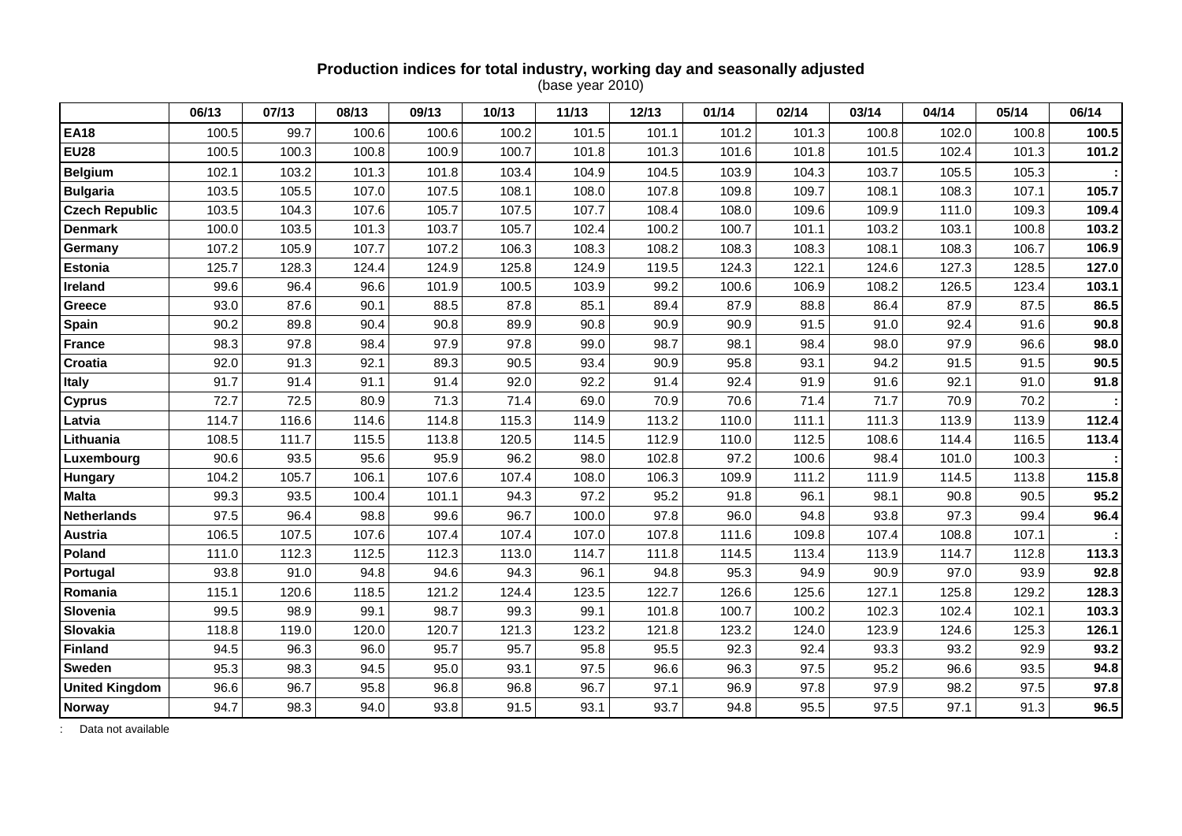#### **Production indices for total industry, working day and seasonally adjusted**  (base year 2010)

|                       | 06/13 | 07/13 | 08/13 | 09/13 | 10/13 | 11/13 | 12/13 | 01/14 | 02/14 | 03/14 | 04/14 | 05/14 | 06/14 |
|-----------------------|-------|-------|-------|-------|-------|-------|-------|-------|-------|-------|-------|-------|-------|
| <b>EA18</b>           | 100.5 | 99.7  | 100.6 | 100.6 | 100.2 | 101.5 | 101.1 | 101.2 | 101.3 | 100.8 | 102.0 | 100.8 | 100.5 |
| <b>EU28</b>           | 100.5 | 100.3 | 100.8 | 100.9 | 100.7 | 101.8 | 101.3 | 101.6 | 101.8 | 101.5 | 102.4 | 101.3 | 101.2 |
| <b>Belgium</b>        | 102.1 | 103.2 | 101.3 | 101.8 | 103.4 | 104.9 | 104.5 | 103.9 | 104.3 | 103.7 | 105.5 | 105.3 |       |
| <b>Bulgaria</b>       | 103.5 | 105.5 | 107.0 | 107.5 | 108.1 | 108.0 | 107.8 | 109.8 | 109.7 | 108.1 | 108.3 | 107.1 | 105.7 |
| <b>Czech Republic</b> | 103.5 | 104.3 | 107.6 | 105.7 | 107.5 | 107.7 | 108.4 | 108.0 | 109.6 | 109.9 | 111.0 | 109.3 | 109.4 |
| <b>Denmark</b>        | 100.0 | 103.5 | 101.3 | 103.7 | 105.7 | 102.4 | 100.2 | 100.7 | 101.1 | 103.2 | 103.1 | 100.8 | 103.2 |
| Germany               | 107.2 | 105.9 | 107.7 | 107.2 | 106.3 | 108.3 | 108.2 | 108.3 | 108.3 | 108.1 | 108.3 | 106.7 | 106.9 |
| <b>Estonia</b>        | 125.7 | 128.3 | 124.4 | 124.9 | 125.8 | 124.9 | 119.5 | 124.3 | 122.1 | 124.6 | 127.3 | 128.5 | 127.0 |
| Ireland               | 99.6  | 96.4  | 96.6  | 101.9 | 100.5 | 103.9 | 99.2  | 100.6 | 106.9 | 108.2 | 126.5 | 123.4 | 103.1 |
| <b>Greece</b>         | 93.0  | 87.6  | 90.1  | 88.5  | 87.8  | 85.1  | 89.4  | 87.9  | 88.8  | 86.4  | 87.9  | 87.5  | 86.5  |
| Spain                 | 90.2  | 89.8  | 90.4  | 90.8  | 89.9  | 90.8  | 90.9  | 90.9  | 91.5  | 91.0  | 92.4  | 91.6  | 90.8  |
| France                | 98.3  | 97.8  | 98.4  | 97.9  | 97.8  | 99.0  | 98.7  | 98.1  | 98.4  | 98.0  | 97.9  | 96.6  | 98.0  |
| Croatia               | 92.0  | 91.3  | 92.1  | 89.3  | 90.5  | 93.4  | 90.9  | 95.8  | 93.1  | 94.2  | 91.5  | 91.5  | 90.5  |
| <b>Italy</b>          | 91.7  | 91.4  | 91.1  | 91.4  | 92.0  | 92.2  | 91.4  | 92.4  | 91.9  | 91.6  | 92.1  | 91.0  | 91.8  |
| <b>Cyprus</b>         | 72.7  | 72.5  | 80.9  | 71.3  | 71.4  | 69.0  | 70.9  | 70.6  | 71.4  | 71.7  | 70.9  | 70.2  |       |
| Latvia                | 114.7 | 116.6 | 114.6 | 114.8 | 115.3 | 114.9 | 113.2 | 110.0 | 111.1 | 111.3 | 113.9 | 113.9 | 112.4 |
| Lithuania             | 108.5 | 111.7 | 115.5 | 113.8 | 120.5 | 114.5 | 112.9 | 110.0 | 112.5 | 108.6 | 114.4 | 116.5 | 113.4 |
| Luxembourg            | 90.6  | 93.5  | 95.6  | 95.9  | 96.2  | 98.0  | 102.8 | 97.2  | 100.6 | 98.4  | 101.0 | 100.3 |       |
| Hungary               | 104.2 | 105.7 | 106.1 | 107.6 | 107.4 | 108.0 | 106.3 | 109.9 | 111.2 | 111.9 | 114.5 | 113.8 | 115.8 |
| <b>Malta</b>          | 99.3  | 93.5  | 100.4 | 101.1 | 94.3  | 97.2  | 95.2  | 91.8  | 96.1  | 98.1  | 90.8  | 90.5  | 95.2  |
| <b>Netherlands</b>    | 97.5  | 96.4  | 98.8  | 99.6  | 96.7  | 100.0 | 97.8  | 96.0  | 94.8  | 93.8  | 97.3  | 99.4  | 96.4  |
| <b>Austria</b>        | 106.5 | 107.5 | 107.6 | 107.4 | 107.4 | 107.0 | 107.8 | 111.6 | 109.8 | 107.4 | 108.8 | 107.1 |       |
| Poland                | 111.0 | 112.3 | 112.5 | 112.3 | 113.0 | 114.7 | 111.8 | 114.5 | 113.4 | 113.9 | 114.7 | 112.8 | 113.3 |
| Portugal              | 93.8  | 91.0  | 94.8  | 94.6  | 94.3  | 96.1  | 94.8  | 95.3  | 94.9  | 90.9  | 97.0  | 93.9  | 92.8  |
| Romania               | 115.1 | 120.6 | 118.5 | 121.2 | 124.4 | 123.5 | 122.7 | 126.6 | 125.6 | 127.1 | 125.8 | 129.2 | 128.3 |
| Slovenia              | 99.5  | 98.9  | 99.1  | 98.7  | 99.3  | 99.1  | 101.8 | 100.7 | 100.2 | 102.3 | 102.4 | 102.1 | 103.3 |
| Slovakia              | 118.8 | 119.0 | 120.0 | 120.7 | 121.3 | 123.2 | 121.8 | 123.2 | 124.0 | 123.9 | 124.6 | 125.3 | 126.1 |
| <b>Finland</b>        | 94.5  | 96.3  | 96.0  | 95.7  | 95.7  | 95.8  | 95.5  | 92.3  | 92.4  | 93.3  | 93.2  | 92.9  | 93.2  |
| <b>Sweden</b>         | 95.3  | 98.3  | 94.5  | 95.0  | 93.1  | 97.5  | 96.6  | 96.3  | 97.5  | 95.2  | 96.6  | 93.5  | 94.8  |
| <b>United Kingdom</b> | 96.6  | 96.7  | 95.8  | 96.8  | 96.8  | 96.7  | 97.1  | 96.9  | 97.8  | 97.9  | 98.2  | 97.5  | 97.8  |
| <b>Norway</b>         | 94.7  | 98.3  | 94.0  | 93.8  | 91.5  | 93.1  | 93.7  | 94.8  | 95.5  | 97.5  | 97.1  | 91.3  | 96.5  |